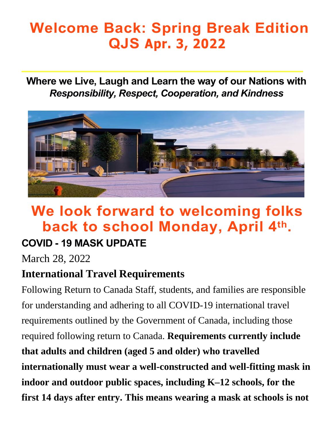# **Welcome Back: Spring Break Edition QJS Apr. 3, 2022**

**Where we Live, Laugh and Learn the way of our Nations with**  *Responsibility, Respect, Cooperation, and Kindness* 



# **We look forward to welcoming folks back to school Monday, April 4th .**

#### **COVID - 19 MASK UPDATE**

March 28, 2022

#### **International Travel Requirements**

Following Return to Canada Staff, students, and families are responsible for understanding and adhering to all COVID-19 international travel requirements outlined by the Government of Canada, including those required following return to Canada. **Requirements currently include that adults and children (aged 5 and older) who travelled internationally must wear a well-constructed and well-fitting mask in indoor and outdoor public spaces, including K–12 schools, for the first 14 days after entry. This means wearing a mask at schools is not**